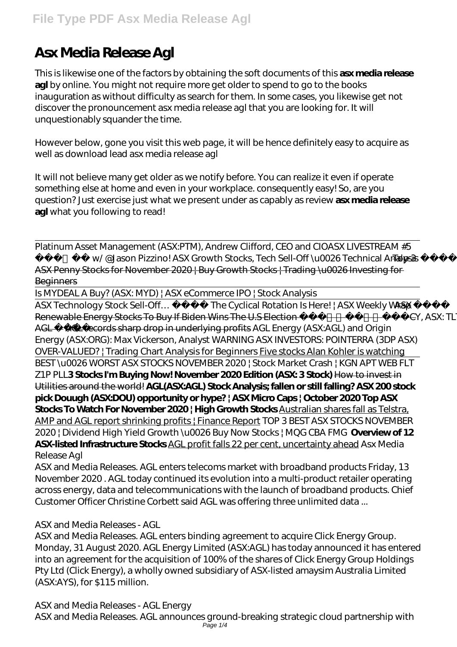# **Asx Media Release Agl**

This is likewise one of the factors by obtaining the soft documents of this **asx media release agl** by online. You might not require more get older to spend to go to the books inauguration as without difficulty as search for them. In some cases, you likewise get not discover the pronouncement asx media release agl that you are looking for. It will unquestionably squander the time.

However below, gone you visit this web page, it will be hence definitely easy to acquire as well as download lead asx media release agl

It will not believe many get older as we notify before. You can realize it even if operate something else at home and even in your workplace. consequently easy! So, are you question? Just exercise just what we present under as capably as review **asx media release agl** what you following to read!

Platinum Asset Management (ASX:PTM), Andrew Clifford, CEO and CIO*ASX LIVESTREAM #5* - w/@Jason Pizzino! ASX Growth Stocks, Tech Sell-Off\u0026 Technical Analysis <del>Top 3</del> ASX Penny Stocks for November 2020 | Buy Growth Stocks | Trading \u0026 Investing for

# **Beginners**

Is MYDEAL A Buy? (ASX: MYD) | ASX eCommerce IPO | Stock Analysis

ASX Technology Stock Sell-Off... The Cyclical Rotation Is Here! | ASX Weekly Wrap ASX Renewable Energy Stocks To Buy If Biden Wins The U.S Election | ASX: MCY, ASX: TLT, ASX: AGL AGL records sharp drop in underlying profits *AGL Energy (ASX:AGL) and Origin Energy (ASX:ORG): Max Vickerson, Analyst WARNING ASX INVESTORS: POINTERRA (3DP ASX) OVER-VALUED? | Trading Chart Analysis for Beginners* Five stocks Alan Kohler is watching BEST \u0026 WORST ASX STOCKS NOVEMBER 2020 | Stock Market Crash | KGN APT WEB FLT Z1P PLL**3 Stocks I'm Buying Now! November 2020 Edition (ASX: 3 Stock)** How to invest in Utilities around the world! **AGL(ASX:AGL) Stock Analysis; fallen or still falling? ASX 200 stock pick Douugh (ASX:DOU) opportunity or hype? | ASX Micro Caps | October 2020 Top ASX Stocks To Watch For November 2020 ¦ High Growth Stocks** Australian shares fall as Telstra, AMP and AGL report shrinking profits | Finance Report *TOP 3 BEST ASX STOCKS NOVEMBER 2020 | Dividend High Yield Growth \u0026 Buy Now Stocks | MQG CBA FMG* **Overview of 12 ASX-listed Infrastructure Stocks** AGL profit falls 22 per cent, uncertainty ahead *Asx Media Release Agl*

ASX and Media Releases. AGL enters telecoms market with broadband products Friday, 13 November 2020 . AGL today continued its evolution into a multi-product retailer operating across energy, data and telecommunications with the launch of broadband products. Chief Customer Officer Christine Corbett said AGL was offering three unlimited data ...

# *ASX and Media Releases - AGL*

ASX and Media Releases. AGL enters binding agreement to acquire Click Energy Group. Monday, 31 August 2020. AGL Energy Limited (ASX:AGL) has today announced it has entered into an agreement for the acquisition of 100% of the shares of Click Energy Group Holdings Pty Ltd (Click Energy), a wholly owned subsidiary of ASX-listed amaysim Australia Limited (ASX:AYS), for \$115 million.

# *ASX and Media Releases - AGL Energy*

ASX and Media Releases. AGL announces ground-breaking strategic cloud partnership with Page 1/4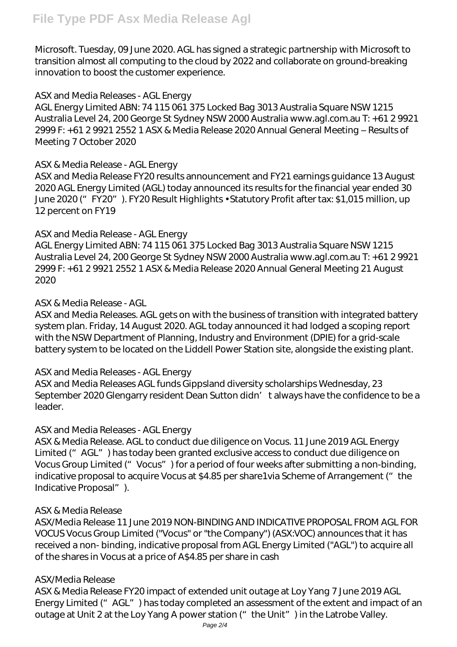Microsoft. Tuesday, 09 June 2020. AGL has signed a strategic partnership with Microsoft to transition almost all computing to the cloud by 2022 and collaborate on ground-breaking innovation to boost the customer experience.

# *ASX and Media Releases - AGL Energy*

AGL Energy Limited ABN: 74 115 061 375 Locked Bag 3013 Australia Square NSW 1215 Australia Level 24, 200 George St Sydney NSW 2000 Australia www.agl.com.au T: +61 2 9921 2999 F: +61 2 9921 2552 1 ASX & Media Release 2020 Annual General Meeting – Results of Meeting 7 October 2020

# *ASX & Media Release - AGL Energy*

ASX and Media Release FY20 results announcement and FY21 earnings guidance 13 August 2020 AGL Energy Limited (AGL) today announced its results for the financial year ended 30 June 2020 ("FY20"). FY20 Result Highlights • Statutory Profit after tax: \$1,015 million, up 12 percent on FY19

## *ASX and Media Release - AGL Energy*

AGL Energy Limited ABN: 74 115 061 375 Locked Bag 3013 Australia Square NSW 1215 Australia Level 24, 200 George St Sydney NSW 2000 Australia www.agl.com.au T: +61 2 9921 2999 F: +61 2 9921 2552 1 ASX & Media Release 2020 Annual General Meeting 21 August 2020

## *ASX & Media Release - AGL*

ASX and Media Releases. AGL gets on with the business of transition with integrated battery system plan. Friday, 14 August 2020. AGL today announced it had lodged a scoping report with the NSW Department of Planning, Industry and Environment (DPIE) for a grid-scale battery system to be located on the Liddell Power Station site, alongside the existing plant.

# *ASX and Media Releases - AGL Energy*

ASX and Media Releases AGL funds Gippsland diversity scholarships Wednesday, 23 September 2020 Glengarry resident Dean Sutton didn' t always have the confidence to be a leader.

# *ASX and Media Releases - AGL Energy*

ASX & Media Release. AGL to conduct due diligence on Vocus. 11 June 2019 AGL Energy Limited ("AGL") has today been granted exclusive access to conduct due diligence on Vocus Group Limited ("Vocus") for a period of four weeks after submitting a non-binding, indicative proposal to acquire Vocus at \$4.85 per share1via Scheme of Arrangement ( $\degree$  the Indicative Proposal").

#### *ASX & Media Release*

ASX/Media Release 11 June 2019 NON-BINDING AND INDICATIVE PROPOSAL FROM AGL FOR VOCUS Vocus Group Limited ("Vocus" or "the Company") (ASX:VOC) announces that it has received a non- binding, indicative proposal from AGL Energy Limited ("AGL") to acquire all of the shares in Vocus at a price of A\$4.85 per share in cash

#### *ASX/Media Release*

ASX & Media Release FY20 impact of extended unit outage at Loy Yang 7 June 2019 AGL Energy Limited ("AGL") has today completed an assessment of the extent and impact of an outage at Unit 2 at the Loy Yang A power station (" the Unit") in the Latrobe Valley.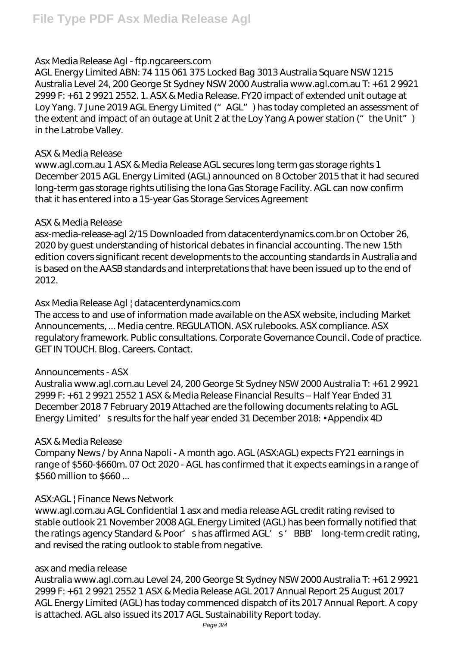# *Asx Media Release Agl - ftp.ngcareers.com*

AGL Energy Limited ABN: 74 115 061 375 Locked Bag 3013 Australia Square NSW 1215 Australia Level 24, 200 George St Sydney NSW 2000 Australia www.agl.com.au T: +61 2 9921 2999 F: +61 2 9921 2552. 1. ASX & Media Release. FY20 impact of extended unit outage at Loy Yang. 7 June 2019 AGL Energy Limited (" AGL" ) has today completed an assessment of the extent and impact of an outage at Unit 2 at the Loy Yang A power station  $($ " the Unit") in the Latrobe Valley.

## *ASX & Media Release*

www.agl.com.au 1 ASX & Media Release AGL secures long term gas storage rights 1 December 2015 AGL Energy Limited (AGL) announced on 8 October 2015 that it had secured long-term gas storage rights utilising the Iona Gas Storage Facility. AGL can now confirm that it has entered into a 15-year Gas Storage Services Agreement

## *ASX & Media Release*

asx-media-release-agl 2/15 Downloaded from datacenterdynamics.com.br on October 26, 2020 by guest understanding of historical debates in financial accounting. The new 15th edition covers significant recent developments to the accounting standards in Australia and is based on the AASB standards and interpretations that have been issued up to the end of 2012.

# *Asx Media Release Agl | datacenterdynamics.com*

The access to and use of information made available on the ASX website, including Market Announcements, ... Media centre. REGULATION. ASX rulebooks. ASX compliance. ASX regulatory framework. Public consultations. Corporate Governance Council. Code of practice. GET IN TOUCH. Blog. Careers. Contact.

# *Announcements - ASX*

Australia www.agl.com.au Level 24, 200 George St Sydney NSW 2000 Australia T: +61 2 9921 2999 F: +61 2 9921 2552 1 ASX & Media Release Financial Results – Half Year Ended 31 December 2018 7 February 2019 Attached are the following documents relating to AGL Energy Limited' sresults for the half year ended 31 December 2018: • Appendix 4D

# *ASX & Media Release*

Company News / by Anna Napoli - A month ago. AGL (ASX:AGL) expects FY21 earnings in range of \$560-\$660m. 07 Oct 2020 - AGL has confirmed that it expects earnings in a range of \$560 million to \$660 ...

# *ASX:AGL | Finance News Network*

www.agl.com.au AGL Confidential 1 asx and media release AGL credit rating revised to stable outlook 21 November 2008 AGL Energy Limited (AGL) has been formally notified that the ratings agency Standard & Poor's has affirmed AGL's 'BBB' long-term credit rating, and revised the rating outlook to stable from negative.

# *asx and media release*

Australia www.agl.com.au Level 24, 200 George St Sydney NSW 2000 Australia T: +61 2 9921 2999 F: +61 2 9921 2552 1 ASX & Media Release AGL 2017 Annual Report 25 August 2017 AGL Energy Limited (AGL) has today commenced dispatch of its 2017 Annual Report. A copy is attached. AGL also issued its 2017 AGL Sustainability Report today.